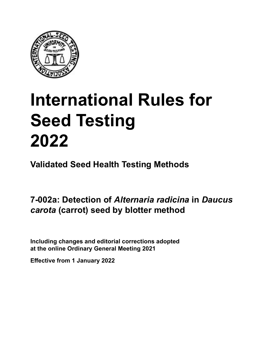

# **International Rules for Seed Testing von Saatgut 2022 2022 Semences 2022 International Rules for Seed Testing 2022**

**Métodos Validados para Análisis de Sanidad de Semillas Validate Méthodes Validées pour Analyse Sanitaire des Semences Validated Seed Health Testing Methods**

**7-002a: Detección de** *Alternaria radicina* **en Filterpapier-Methode für den Nachweis Méthode sur buvard pour la détection semillas de** *Daucus carota* **(zanahoria) por el**  *meta* (particly becan by pro *x* volume between of *rivernaria radicina* in Dau *carota* **(Möhre)** *a* boxa: Dotootion of Alternaria radioma in Dau  **(carotte) 7-002a: Detection of** *Alternaria radicina* **in** *Daucus carota* **(carrot) seed by blotter method**

Including changes and editorial corrections adopted at the online Ordinary General Meeting 2021

**Effective from 1 January 2022**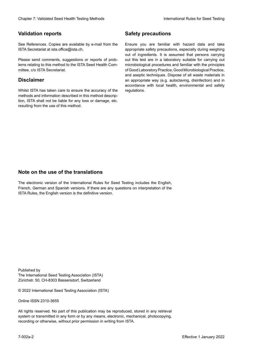### **Validation reports**

See References. Copies are available by e-mail from the<br>ISTA Secretariat at ista.office@ista.ch. ISTA Secretariat at ista.office@ista.ch.

lems relating to this method to the ISTA Seed Health Com-<br>mittee, c/o ISTA Secretariat. mittee, c/o ISTA Secretariat.<br>i Please send comments, suggestions or reports of prob-

## **Limitation de responsabilité Disclaimer**

Whilst ISTA has taken care to ensure the accuracy of the<br>methods and information described in this method description, ISTA shall not be liable for any loss or damage, etc.<br>resulting from the use of this method.<br>. resulting from the use of this method. Whilst ISTA has taken care to ensure the accuracy of the methods and information described in this method descrip-<br>tion, ISTA shall not be liable for any loss or damage, etc. tion, ISTA shall not be liable for any loss or damage, etc.<br>resulting from the use of this method.

### **Medidas de seguridad Sicherheitsmaßnahmen Sécurité Safety precautions**

Ensure you are familiar with hazard data and take Ensure you are familiar with hazard data and take<br>appropriate safety precautions, especially during weighing out of ingredients. It is assumed that persons carrying out this test are in a laboratory suitable for carrying out microbiological procedures and familiar with the principles of Good Laboratory Practice, Good Microbiological Practice, and aseptic techniques. Dispose of all waste materials in an appropriate way (e.g. autoclaving, disinfection) and in accordance with local health, environmental and safety regulations. Glade in 2. Validated Deed Health Testing holes by Safety precentions and the Sacrifice Control of the Control of the Control of the Control of the Control of the Control of the Control of the Control of the Control of the microbiological procedures and familiar with the principles<br>of Good Laboratory Practice, Good Microbiological Practice,<br>and aseptic techniques. Dispose of all waste materials in<br>an appropriate way (e.g. autoclaving, disinf fallstoffe sind auf geeignete Weise und entsprechend der vor Ort über der vor Ort über und Umwelt- und Umwelt-<br>Eine und Umwelt-Effective Counter of Nicolastic Counter of Nicolastic Counter of Nicolastic Counter of Nicolastic Counter Méthodes validations of the Counter Méthodes validations of the Counter Counter Méthodes validations of the Counter of Good Laboratory Practice, Good Microbiological Practice,<br>and aseptic techniques. Dispose of all waste materials in<br>an appropriate way (e.g. autoclaving, disinfection) and in Validation reports<br>
Since The Texture 1988 and the system of the Since Theorem and the Since Theorem and the system of the Since The Since The Since The Since The Since The Since The Since The Since The Since The Since The Ensure you are familiar with hazard data and take<br>appropriate safety precautions, especially during weighing<br>out of ingredients. It is assumed that persons carrying<br>out this test are in a laboratory suitable for carrying o

## **Nota sobre el uso de traducciones Anmerkung zur Benutzung der Übersetzungen Note on the use of the translations**

The electronic version of the International Rules for Seed Testing includes the English, French, German and Spanish versions. If there are any questions on interpretation of the ISTA Rules, the English version is the definitive version. The electronic version of the International Rules for Seed Testing includes the English,<br>French, German and Spanish versions. If there are any questions on interpretation of the<br>ISTA Rules, the English version is the defin The electronic version of the International Rules for Seed Testing includes the English,<br>French, German and Spanish versions. If there are any questions on interpretation of the

Published by **Extending Association (ISTA)** The International Seed Testing Association (ISTA) Zürichstr. 50, CH-8303 Bassersdorf, Switzerland

© 2022 International Seed Testing Association (ISTA)

Alle Rechte vorbehalten. Kein Teil dieses Werkes darf in irgendwelcher Form oder durch Online ISSN 2310-3655

All rights reserved. No part of this publication may be reproduced, stored in any retrieval All rights reserved. No part of this publication may be reproduced, stored in any retrieval<br>system or transmitted in any form or by any means, electronic, mechanical, photocopying,<br>recording or otherwise, without prior per recording or otherwise, without prior permis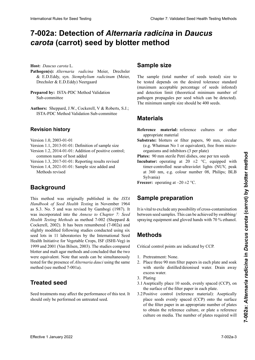## 7-002a: Detection of *Alternaria radicina* in *Daucus carota* (carrot) seed by blotter method

**Host:** *Daucus carota* L.

- Pathogen(s): Alternaria radicina Meier, Drechsler & E.D.Eddy, syn. Stemphylium radicinum (Meier, e.<br>Drechsler & F.D. Eddy) Neergaard chsler & E.D.Eddy) New Barrier **Pathogen: Pathogenetical Pathogenetical** *radicinal**radicinal* **<b>***radicinal radicinal radicinal radicinal radicinal radicinal radicinal radicinal radicinal radicinal radicinal* ler & E.D.Eddy, syn. *Stemphylium radicinum* (Meier, & E.D.Eddy, syn. *Stemphylium radicinum*
- Preparado por: ISTA-1 D C Method Validation Sub-committee Sub-committee Prepared by: ISTA-PDC Method Validation ERSTEIN **EXAMPLE Préparé par :** Sous-Comité de Validation des Méthodes
- **Autores:** Sheppard, J.W., Cockerell, V & Roberts, S.J.; ISTA-PDC Method Validation Sub-committee Authors: Sheppard, J.W., Cockerell, V & Roberts, S.J.;

### **Historial de revisiones Revision history**

Versión 1.0, 2003-01-01 **Revisionsstand** Version 1.0, 2003-01-01<br>Version 1.1, 2012, 21, 21, 2<sub>0</sub>, 11,

- Version 1.1, 2013-01-01: Definition of sample size
- Version 1.2, 2014-01-01: Addition of positive control; common name of host added
- Version 1.3, 2017-01-01: Reporting results revised

Version 1.4, 2021-01-01: Sample size added and Methods revised

### **Antecedentes** Überarbeitung der Methoden révisé Version 1.4, 2021-01-01 : Ajout de « Taille de l'échantil-**Background**

Este método fue publicado originalmente en el *ISTA Han-Handbook of Seed Health Testing* in November 1964 as S.3. No. 5 and was revised by Gambogi (1987). It was incorporated into the *Annexe* to *Chapter 7: Seed Health Testing Methods* as method 7-002 (Sheppard & Cockerell, 2002). It has been renumbered (7-002a) and slightly modified following studies conducted using six Cockerell, 2002). It has been renumbered  $(7-0.02a)$  and slightly modified following studies conducted using six slightly modified following studies conducted using six seed lots in 11 laboratories by the International Seed<br>Health Initiative for Vegetable Crops ISE (ISHL-Veg) in Health Initiative for Vegetable Crops, ISF (ISHI-Veg) in 1999 and 2001 (Van Bilsen, 2003). The studies compared blotter and malt agar methods and concluded that the two<br>were equivalent. Note that seeds can be simultaneously<br>tested for the presence of Alternania developing the seme were equivalent. Note that seeds can be simultaneously<br>tested for the presence of *Altamania deusivaine* the same were equivalente l'ivre una secas can ce simulaticousty tested for the presence of *Alternaria dauci* using the same<br>mathed (see mathed 7,001s) method (see method 7-001a). This method was originally published in the *ISTA* blancation Relieve to See Total Control Control Control Control Control Control Control Control Control Control Control Control Control Control Control Control Control Control Control Control Control Control Control Contr

### thode 7-001a). simultanément testées pour la présence d'*Alternaria dauci* avec la même méthode (voir méthode 7-001a) **Treated seed**

**Semilla trade** should only be performed on untreated seed. Seed treatments may affect the performance of this test. It

### **Tampic dine Sample size**

be tested depends on the desired tolerance standard (maximum acceptable percentage of seeds infested) and detection limit (theoretical minimum number of pathogen propagules per seed which can be detected).<br>The minimum sample size should be 400 seeds. patrogen propáguros per seca winen euro ce detectou). paño gen propagares per seed which can se decessed.<br>The minimum sample size should be 400 seeds. The sample (total number of seeds tested) size to

## **Materials**

**Materiales Material de referencial de referencial de referencia un otro ma-Reference material:** reference cultures or other appropriate material

**Substrate:** blotters or filter papers, 90 mm, circular (e.g. Whatman No 1 or equivalent), free from microorganisms and inhibitors (3 per plate)

organisms and inhibitors (3 per plate)<br>**Plates:** 90 mm sterile Petri dishes, one per ten seeds

**Incubator:** operating at 20  $\pm$ 2 °C, equipped with **Incubator:** operating at 20  $\pm$ 2 °C, equipped with timer-controlled near-ultraviolet lights (NUV, peak at 360 nm, e.g. colour number 08, Philips; BLB Sylvania) are de luz ultravioleta-cercano (NUV), pico a 360 nm; este a 360 nm; este a 360 nm; este a 360 nm; este a 360 nm; este a 360 nm; este a 360 nm; este a 360 nm; este a 360 nm; este a 360 nm; este a 360 nm; este a 3 Sylvania)<br>Freezer: operating at  $-20 \pm 2$  °C.

ezer: operating at  $-20 \pm 2$  °C. **Freezer:** operating at  $-20 \pm 2$  °C.

## **Sample preparation**

It is vital to exclude any possibility of cross-contamination spraying equipment and gloved hands with 70 % ethanol.<br>Methods between seed samples. This can be achieved by swabbing/

## **Como los guantes de traden, die mit 70-prozentigem Ethanol behan-**

Critical control points are indicated by CCP.

- 1. Pretreatment: None.
- 2. Place three 90 mm filter papers in each plate and soak with sterite districts at  $2.$  Post  $\frac{1}{2}$  mm en cada place  $\frac{1}{2}$  mm en cada place  $\frac{1}{2}$  en cada place  $\frac{1}{2}$  en cada place  $\frac{1}{2}$ Kritische Kontroller in der Preisen mit Karl der Schweizer gekennzeit. Die eine gekennzeit gekennzeit der Schweizer gekennzeit. with sterile distilled/deionised water. Drain away Places traditions filtres de 90 mm de 90 mm de 90 mm de diamètre dans de 90 mm de 1910 de 1910 de 1910 de diamètre dans de 1910 de 1910 de 1910 de 1910 de 1910 de 1910 de 1910 de 1910 de 1910 de 1910 de 1910 de 1910 de 191 excess water.
- 2. Plating<br>3. Plating
- $\frac{1}{2}$  agua destilada destilada estéril. Dre- $\frac{1}{2}$  estéril. Dre- $\frac{1}{2}$  estéril. Dre-Aseptically place TV the surface of the filter paper in each plate.  $2.14$  Figure  $2.14$  Figure  $2.14$  Figure  $2.14$  Figure  $2.16$  Figure  $2.16$  Figure  $2.16$  Figure  $2.16$  Figure  $2.16$  Figure  $2.16$  Figure  $2.16$  Figure  $2.16$  Figure  $2.16$  Figure  $2.16$  Figure  $2.16$  Figure  $2.16$  Figu Aseptically place TO seeds, evenly spaced (CCT), on  $r_{\text{t}}$  des boïtes des boïtes de la visibilitation de la visibilitation de la visibilitation de la visibilitation de la visibilitation de la visibilitation de la visibilitation de la visibilitation de la visibilitation 3.1 Aseptically place 10 seeds, evenly spaced (CCP), on
- 3.2 Positive control (reference material): Aseptically place seeds evenly spaced (CCP) onto the surface of the filter paper in an appropriate number of plates to obtain the reference culture, or plate a reference to obtain the reference culture, or plate a reference<br>culture on media. The number of plates required will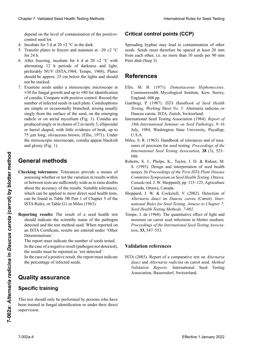depend on the level of contamination of the positive-<br>control seed lot. control seed lot.

- 4. Incubate for 3 d at  $20 \pm 2$  °C in the dark.
- control seed lot.<br>4. Incubate for 3 d at  $20 \pm 2$  °C in the dark.<br>5. Transfer plates to freezer and maintain at -20  $\pm 2$  °C for 24  $h$ .
- 6. After freezing, incubate for 6 d at 20  $\pm$ 2 °C with alternating 12 h periods of darkness and light,<br>preferably NUV (ISTA 1984: Tempe 1968) Plates preferably NUV (ISTA,1984; Tempe, 1968). Plates should be approx. 25 cm below the lights and should<br>not be stacked.<br>7. Examine seeds under a stereoscopic microscope at<br> $\times$ 30 for fungal growth and up to  $\times$ 80 for identification  $\frac{1}{2}$  not be stacked.
- 7. Examine seeds under a stereoscopic microscope at  $\times$ 30 for fungel growth and un to  $\times$ 80 for identification. **x**30 for fungal growth and up to **×**80 for identification of conidia. Compare with positive control. Record the number of infected seeds in each plate. Conidiophores are simple or occasionally branched, arising usually simple from the events of the exert or the exercise el control positivity of the seed, and single stating in $f(x)$  from the string of the seed, on the emerging  $\frac{1}{1}$  of  $\frac{1}{1}$  in  $\frac{1}{1}$  in  $\frac{1}{1}$  in  $\frac{1}{1}$  in  $\frac{1}{1}$  in  $\frac{1}{1}$  in  $\frac{1}{1}$  in  $\frac{1}{1}$  in  $\frac{1}{1}$ produced singly or in chains of 2 or rarely 3, ellipsoidal produced singly or in chains of 2 of farely 5, empsondat<br>or barrel shaped, with little evidence of beak, up to  $\alpha$  um long, onvaceous brown, (Ellis, 1971). Onder the stereoscopic microscope, conidia appear blackish<br>and glossy (Fig. 1). and glossy (Fig. 1). Clearly 7. Validated Dest Feschi Feschi balakok<br>
Constant Regional Clearly Constant Regional Constant Constant Constant Constant Constant Constant Constant Constant Constant Constant Constant Constant Constant Constant Co  $t_{\text{SIR}}$  is the surface of the seed, on the emerging en identifieren. Mit Positive vergleichen. Die témoin position position position position position de semences<br>
conidion de semente ou radicle or on aerial mycelium (Fig. 1). Conidia are Chaos 7 Validiati Seat Health Foring Mathos back control and the seat of the Townstein River for Seat Health<br>
depend on the Collection Chaosimatical Chaosimatic Chaosimatic Chaosimatic Chaosimatic Chaosimatic Chaosimatic or barrer snaped, with fitte evidence or beak, up to<br>75 μm long, olivaceous brown, (Ellis, 1971). Under<br>the stereoscopic microscope, conidia appear blackish

### copio estereoscópico, los conidios aparecen negruzcos **General methods**

- assessing whether or not the variation in results within about the accuracy of the results. Suitable tolerances, about the accuracy of the results. Suitable tolerances, which can be applied to most direct seed health tests, about the accuracy of the results. Suitable tolerances,<br>which can be applied to most direct seed health tests,<br>can be found in Table 5B Part 1 of Chapter 5 of the<br>ISTA Rules, or Table G1 in Miles (1963).<br>**Reporting results** ISTA Rules, or Table G1 in Miles (1963). Checking tolerances: Tolerances provide a means of **Coneral methods**<br> **Effective 1 Davids Effective 1** S. J. Phelps, K., Taylor, J. D. & Rubut, M.<br> **Checking tolerances:** Tolerances provide a means of see the thermatical of red health and the variation of red health and or between tests are sufficiently wide as to raise doubts
	- Reporting results: The result of a seed health test should indicate the scientific name of the pathogen<br>detected and the test method used. When renorted on detected and the test method used. When reported on an ISTA Certificate, results are entered under 'Other Determinations'.

The report must indicate the number of seeds tested. In the case of a negative result (pathogen not detected), the results must be reported as 'not detected'.

In the case of a positive result, the report must indicate dos se informaciones de terminaciones de terminaciones de terminaciones de terminaciones de terminaciones. El percentage of infected secus. sense des Krankheitserregers und die nombre des Krankheitserregers und die nombre de semences. verwendigt in Berichterstattung auf die Ergebnisse unter ISTA-Bericht sind die Ergebnisse unter die Ergebnisse u the percentage of infected seeds.

#### En el caso de un resultado negativo (patógeno no detectus dood door in formal ser in formal ser in formal ser in the series of the series of the series of the se 'Weitere Untersuchungsergebnisse' einzutragen. der Prüferingerichten muss die Anzahl untersuchteten Samen angeben.<br>Samen angeben  $\mathbf{B}$ **Quality assurance**

#### detectado'. En el caso de un resultado positivo, el informe debe Im Falle eines negativen Ergebnisses (Krankheitser-**Specific training**

indicar el porcentaje de semillas infectadas. reger nicht nachgewiesen), müssen die Ergebnisse als This test should only be performed by persons who have been trained in fungal identification or under their direct supervision.

## **Critical control points (CCP)**

Spreading hyphae may lead to contamination of other from each other, i.e. no more than 10 seeds per 90 mm Petri dish (Step 3). directa supervisión. Pilzen haben oder unter der direkten Anleitung einer Perpersonnes qui l'ont été. seeds. Seeds must therefore be spaced at least 20 mm

#### **Puntos críticos de control (PCC) Points critiques de contrôle (CCP) References**

- La propagación de las hifas puede provocar la contamina-• La croissance des hyphes peut amener à la contami-Commonwealth Mycological Institute, Kew, Surrey, commonwealth in young can mathematic, results seminary, England. 608 pp. Ellis, M. B. (1971). *Dematiaceous Hyphomycetes*.
- England. 608 pp.<br>Gambogi, P. (1987). ISTA Handbook of Seed Health<br>Testing Warking Sheet No. 5: Alternatio gedising on Sumoogi, 1. (1907). DIII Humaooon of Secu Heum *Testing, Working Sheet No. 5:* Alternaria radicina *on* **Desime compatible** *Territoria* System Pesting, *Horking Sheet 110*. 5. Thiernand.<br>Daucus carota. ISTA, Zurich, Switzerland.
- **International Seed** July, 1984, Washington State University, Puyallup, U.S.A.  $\sim$ Baucus carola. 191A, Editen, Switzerland.<br>International Seed Testing Association (1984). *Report of Reference ISBN International Seminar on Seed Pathology***, 9–16<br>
<b>19th** 1984 Washington State University Develling U.S.A.
- Miles, S. R. (1963). Handbook of tolerances and of mea-U.S.A.<br>Miles, S. R. (1963). Handbook of tolerances and of mea-<br>sures of precision for seed testing. *Proceedings of the* sures ot precision for seed testing. *Proceedings of the*<br>International Seed Testing Association, 28 (3), 525– **686.**  $\blacksquare$  $686.$ International Seed Testing Association, **28** (3), 525–<br>686. 686.
- Roberts, S. J., Phelps, K., Taylor, J. D. & Ridout, M. S. (1993). Design and interpretation of seed health assays. In *Proceedings of the First ISTA Plant Disease* assays. In *Proceedings of the First ISTA Plant Disease*<br>Committee Symposium on Seed Health Testing, Ottawa, Canada (ed. J. W. Sheppard), pp. 115–125, Agriculture<br>Canada, Ottawa, Canada. Canada, Ottawa, Canada. S. (1993). Design and interpretation of seed health assays. In *Proceedings of the First ISTA Plant Disease Committee Symposium on Seed Health Testing, Ottawa, Canada* (ed. J. W. Sheppard), pp. 115–125, Agriculture assays. In *Proceedings of the First ISTA Plant Disease*
- Sheppard, J. W. & Cockerell, V. (2002). Detection of 686. sures of precision for seed testing. *Proceedings of the International Seed Testing Association*, **28** (3), 525– *Alternaria dauci* on *Daucus carota* (Carrot). *International Rules for Seed Testing. Annexe to Chapter 7:* Seed Health Testing Methods. 7-002.
- Tempe, J. de (1968). The quantitative effect of light and<br>moisture on carrot seed infections in blotter medium.<br>*Proceedings of the International Seed Testing Associa-*<br>tion 33, 547–553 *Committee Symposium on Seed Health Testing, Ottawa,*  moisture on carrot seed infections in blotter medium*.*  Proceedings of the International Seed Testing Associa*tion*, **33,** 547–553. Seed Health Testing Methods. 7-002.<br>Tempe, J. de (1968). The quantitative effect of light and<br>moisture on carrot seed infections in blotter medium.<br>Proceedings of the International Seed Testing Associa-<br>tion, 33, 547–553. Tempe, J. de (1968). The quantitative effect of light and

#### *national Rules for Seed Testing. Annexe to Chapter 7:*  Sheppard, J. W. & Cockerell, V. (2002). Detection of *Alternaria dauci* on *Daucus carota* (Carrot). *Inter-***Validation references** *Seed Health Testing Methods. 7-002*. *Alternaria dauci* on *Daucus carota* (Carrot). *International Rules for Seed Testing. Annexe to Chapter 7:*

ISTA (2003). Report of a comparative test on *Alternaria*<br>daysi and *Alternaria redising* an extra seed *Mathod* Ferry (2009). Repert of a comparative test on international carrot seed. Validation Reports. International Seed Testing *tion*, **33,** 547–553. moisture on carrot seed infections in blotter medium*. Proceedings of the International Seed Testing Associa-tion*, **33,** 547–553. Association, Bassersdorf, Switzerland.